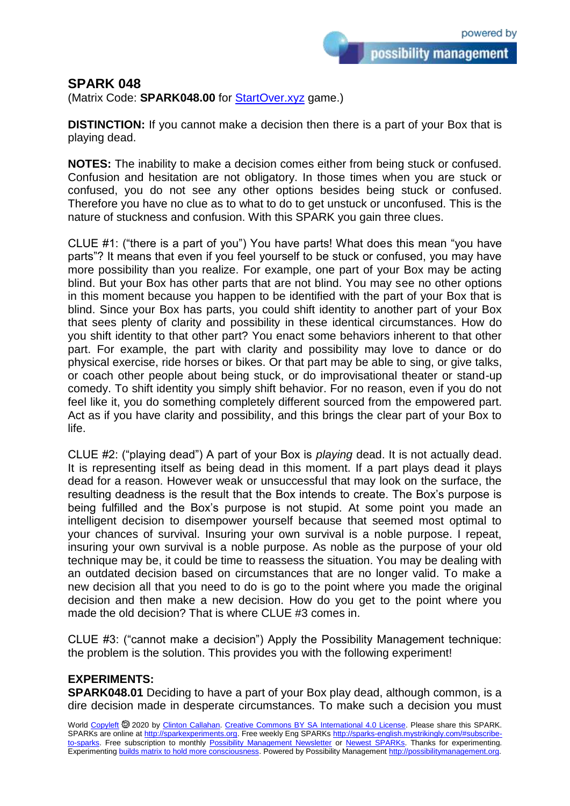possibility management

## **SPARK 048**

(Matrix Code: **SPARK048.00** for [StartOver.xyz](https://startoverxyz.mystrikingly.com/) game.)

**DISTINCTION:** If you cannot make a decision then there is a part of your Box that is playing dead.

**NOTES:** The inability to make a decision comes either from being stuck or confused. Confusion and hesitation are not obligatory. In those times when you are stuck or confused, you do not see any other options besides being stuck or confused. Therefore you have no clue as to what to do to get unstuck or unconfused. This is the nature of stuckness and confusion. With this SPARK you gain three clues.

CLUE #1: ("there is a part of you") You have parts! What does this mean "you have parts"? It means that even if you feel yourself to be stuck or confused, you may have more possibility than you realize. For example, one part of your Box may be acting blind. But your Box has other parts that are not blind. You may see no other options in this moment because you happen to be identified with the part of your Box that is blind. Since your Box has parts, you could shift identity to another part of your Box that sees plenty of clarity and possibility in these identical circumstances. How do you shift identity to that other part? You enact some behaviors inherent to that other part. For example, the part with clarity and possibility may love to dance or do physical exercise, ride horses or bikes. Or that part may be able to sing, or give talks, or coach other people about being stuck, or do improvisational theater or stand-up comedy. To shift identity you simply shift behavior. For no reason, even if you do not feel like it, you do something completely different sourced from the empowered part. Act as if you have clarity and possibility, and this brings the clear part of your Box to life.

CLUE #2: ("playing dead") A part of your Box is *playing* dead. It is not actually dead. It is representing itself as being dead in this moment. If a part plays dead it plays dead for a reason. However weak or unsuccessful that may look on the surface, the resulting deadness is the result that the Box intends to create. The Box's purpose is being fulfilled and the Box's purpose is not stupid. At some point you made an intelligent decision to disempower yourself because that seemed most optimal to your chances of survival. Insuring your own survival is a noble purpose. I repeat, insuring your own survival is a noble purpose. As noble as the purpose of your old technique may be, it could be time to reassess the situation. You may be dealing with an outdated decision based on circumstances that are no longer valid. To make a new decision all that you need to do is go to the point where you made the original decision and then make a new decision. How do you get to the point where you made the old decision? That is where CLUE #3 comes in.

CLUE #3: ("cannot make a decision") Apply the Possibility Management technique: the problem is the solution. This provides you with the following experiment!

## **EXPERIMENTS:**

**SPARK048.01** Deciding to have a part of your Box play dead, although common, is a dire decision made in desperate circumstances. To make such a decision you must

World [Copyleft](https://en.wikipedia.org/wiki/Copyleft) @ 2020 by [Clinton Callahan.](http://clintoncallahan.mystrikingly.com/) [Creative Commons BY SA International 4.0 License.](https://creativecommons.org/licenses/by-sa/4.0/) Please share this SPARK. SPARKs are online at [http://sparkexperiments.org.](http://sparks-english.mystrikingly.com/) Free weekly Eng SPARKs [http://sparks-english.mystrikingly.com/#subscribe](http://sparks-english.mystrikingly.com/#subscribe-to-sparks)[to-sparks.](http://sparks-english.mystrikingly.com/#subscribe-to-sparks) Free subscription to monthly [Possibility Management Newsletter](https://possibilitymanagement.org/news/) or [Newest SPARKs.](https://www.clintoncallahan.org/newsletter-1) Thanks for experimenting. Experimentin[g builds matrix to hold more consciousness.](http://spaceport.mystrikingly.com/) Powered by Possibility Managemen[t http://possibilitymanagement.org.](http://possibilitymanagement.org/)